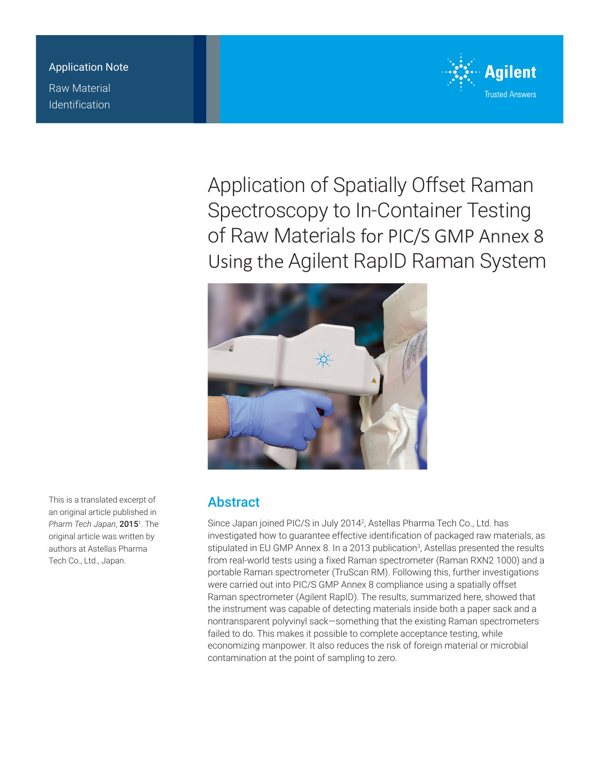Application Note Raw Material Identification



Application of Spatially Offset Raman Spectroscopy to In-Container Testing of Raw Materials for PIC/S GMP Annex 8 Using the Agilent RapID Raman System



**Abstract** 

Since Japan joined PIC/S in July 2014<sup>2</sup>, Astellas Pharma Tech Co., Ltd. has investigated how to guarantee effective identification of packaged raw materials, as stipulated in EU GMP Annex 8. In a 2013 publication<sup>3</sup>, Astellas presented the results from real-world tests using a fixed Raman spectrometer (Raman RXN2 1000) and a portable Raman spectrometer (TruScan RM). Following this, further investigations were carried out into PIC/S GMP Annex 8 compliance using a spatially offset Raman spectrometer (Agilent RapID). The results, summarized here, showed that the instrument was capable of detecting materials inside both a paper sack and a nontransparent polyvinyl sack—something that the existing Raman spectrometers failed to do. This makes it possible to complete acceptance testing, while economizing manpower. It also reduces the risk of foreign material or microbial contamination at the point of sampling to zero.

This is a translated excerpt of an original article published in Pharm Tech Japan, **2015**<sup>1</sup>. The original article was written by authors at Astellas Pharma Tech Co., Ltd., Japan.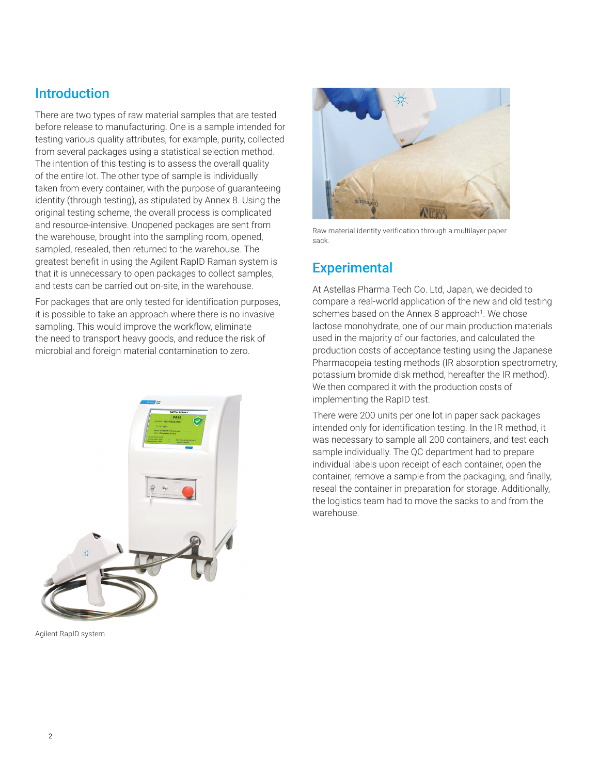### **Introduction**

There are two types of raw material samples that are tested before release to manufacturing. One is a sample intended for testing various quality attributes, for example, purity, collected from several packages using a statistical selection method. The intention of this testing is to assess the overall quality of the entire lot. The other type of sample is individually taken from every container, with the purpose of guaranteeing identity (through testing), as stipulated by Annex 8. Using the original testing scheme, the overall process is complicated and resource-intensive. Unopened packages are sent from the warehouse, brought into the sampling room, opened, sampled, resealed, then returned to the warehouse. The greatest benefit in using the Agilent RapID Raman system is that it is unnecessary to open packages to collect samples, and tests can be carried out on-site, in the warehouse.

For packages that are only tested for identification purposes, it is possible to take an approach where there is no invasive sampling. This would improve the workflow, eliminate the need to transport heavy goods, and reduce the risk of microbial and foreign material contamination to zero.



Agilent RapID system.



Raw material identity verification through a multilayer paper sack.

## **Experimental**

At Astellas Pharma Tech Co. Ltd, Japan, we decided to compare a real-world application of the new and old testing schemes based on the Annex 8 approach<sup>1</sup>. We chose lactose monohydrate, one of our main production materials used in the majority of our factories, and calculated the production costs of acceptance testing using the Japanese Pharmacopeia testing methods (IR absorption spectrometry, potassium bromide disk method, hereafter the IR method). We then compared it with the production costs of implementing the RapID test.

There were 200 units per one lot in paper sack packages intended only for identification testing. In the IR method, it was necessary to sample all 200 containers, and test each sample individually. The QC department had to prepare individual labels upon receipt of each container, open the container, remove a sample from the packaging, and finally, reseal the container in preparation for storage. Additionally, the logistics team had to move the sacks to and from the warehouse.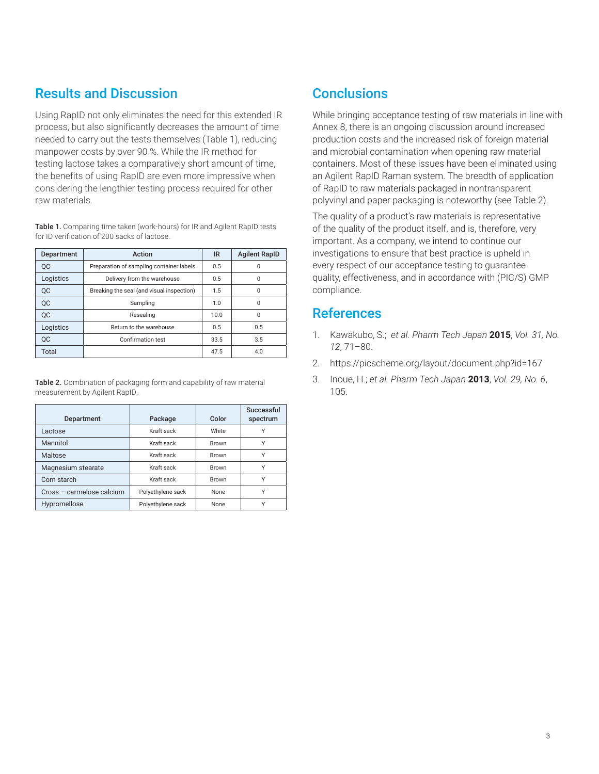# Results and Discussion

Using RapID not only eliminates the need for this extended IR process, but also significantly decreases the amount of time needed to carry out the tests themselves (Table 1), reducing manpower costs by over 90 %. While the IR method for testing lactose takes a comparatively short amount of time, the benefits of using RapID are even more impressive when considering the lengthier testing process required for other raw materials.

Table 1. Comparing time taken (work-hours) for IR and Agilent RapID tests for ID verification of 200 sacks of lactose.

| Department | Action                                    | IR   | <b>Agilent RapID</b> |
|------------|-------------------------------------------|------|----------------------|
| <b>OC</b>  | Preparation of sampling container labels  | 0.5  | 0                    |
| Logistics  | Delivery from the warehouse               | 0.5  | 0                    |
| QC         | Breaking the seal (and visual inspection) | 1.5  | 0                    |
| QC         | Sampling                                  | 1.0  | $\Omega$             |
| <b>OC</b>  | Resealing                                 | 10.0 | $\Omega$             |
| Logistics  | Return to the warehouse                   | 0.5  | 0.5                  |
| <b>OC</b>  | Confirmation test                         | 33.5 | 3.5                  |
| Total      |                                           | 47.5 | 4.0                  |

Table 2. Combination of packaging form and capability of raw material measurement by Agilent RapID.

| Department                | Package           | Color        | Successful<br>spectrum |
|---------------------------|-------------------|--------------|------------------------|
| Lactose                   | Kraft sack        | White        | Υ                      |
| Mannitol                  | Kraft sack        | <b>Brown</b> | Υ                      |
| Maltose                   | Kraft sack        | <b>Brown</b> | Υ                      |
| Magnesium stearate        | Kraft sack        | <b>Brown</b> | Y                      |
| Corn starch               | Kraft sack        | <b>Brown</b> | Υ                      |
| Cross - carmelose calcium | Polyethylene sack | <b>None</b>  | Υ                      |
| Hypromellose              | Polyethylene sack | <b>None</b>  | ٧                      |

# **Conclusions**

While bringing acceptance testing of raw materials in line with Annex 8, there is an ongoing discussion around increased production costs and the increased risk of foreign material and microbial contamination when opening raw material containers. Most of these issues have been eliminated using an Agilent RapID Raman system. The breadth of application of RapID to raw materials packaged in nontransparent polyvinyl and paper packaging is noteworthy (see Table 2).

The quality of a product's raw materials is representative of the quality of the product itself, and is, therefore, very important. As a company, we intend to continue our investigations to ensure that best practice is upheld in every respect of our acceptance testing to guarantee quality, effectiveness, and in accordance with (PIC/S) GMP compliance.

#### References

- 1. Kawakubo, S.; *et al. Pharm Tech Japan* **2015**, *Vol. 31, No. 12*, 71–80.
- 2. https://picscheme.org/layout/document.php?id=167
- 3. Inoue, H.; *et al. Pharm Tech Japan* **2013**, *Vol. 29, No. 6*, 105.